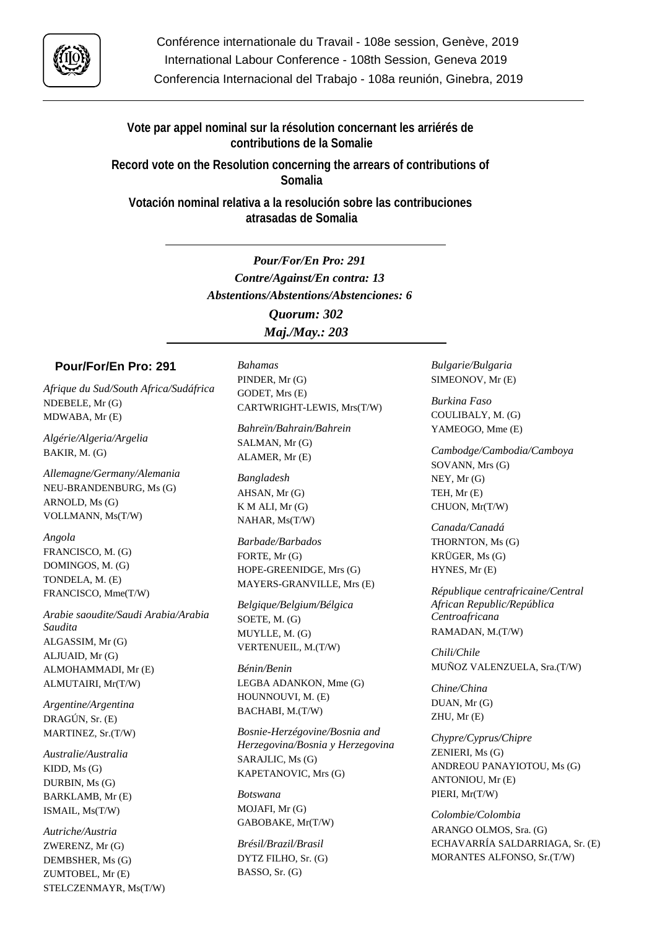

**Vote par appel nominal sur la résolution concernant les arriérés de contributions de la Somalie**

**Record vote on the Resolution concerning the arrears of contributions of Somalia**

**Votación nominal relativa a la resolución sobre las contribuciones atrasadas de Somalia**

> *Pour/For/En Pro: 291 Contre/Against/En contra: 13 Abstentions/Abstentions/Abstenciones: 6*

> > *Quorum: 302 Maj./May.: 203*

## **Pour/For/En Pro: 291**

*Afrique du Sud/South Africa/Sudáfrica* NDEBELE, Mr (G) MDWABA, Mr (E)

*Algérie/Algeria/Argelia* BAKIR, M. (G)

*Allemagne/Germany/Alemania* NEU-BRANDENBURG, Ms (G) ARNOLD, Ms (G) VOLLMANN, Ms(T/W)

*Angola* FRANCISCO, M. (G) DOMINGOS, M. (G) TONDELA, M. (E) FRANCISCO, Mme(T/W)

*Arabie saoudite/Saudi Arabia/Arabia Saudita* ALGASSIM, Mr (G) ALJUAID, Mr (G) ALMOHAMMADI, Mr (E) ALMUTAIRI, Mr(T/W)

*Argentine/Argentina* DRAGÚN, Sr. (E) MARTINEZ, Sr.(T/W)

*Australie/Australia* KIDD, Ms (G) DURBIN, Ms (G) BARKLAMB, Mr (E) ISMAIL, Ms(T/W)

*Autriche/Austria* ZWERENZ, Mr (G) DEMBSHER, Ms (G) ZUMTOBEL, Mr (E) STELCZENMAYR, Ms(T/W) *Bahamas* PINDER, Mr (G) GODET, Mrs (E) CARTWRIGHT-LEWIS, Mrs(T/W)

*Bahreïn/Bahrain/Bahrein* SALMAN, Mr (G) ALAMER, Mr (E)

*Bangladesh* AHSAN, Mr (G) K M ALI, Mr (G) NAHAR, Ms(T/W)

*Barbade/Barbados* FORTE, Mr (G) HOPE-GREENIDGE, Mrs (G) MAYERS-GRANVILLE, Mrs (E)

*Belgique/Belgium/Bélgica* SOETE, M. (G) MUYLLE, M. (G) VERTENUEIL, M.(T/W)

*Bénin/Benin* LEGBA ADANKON, Mme (G) HOUNNOUVI, M. (E) BACHABI, M.(T/W)

*Bosnie-Herzégovine/Bosnia and Herzegovina/Bosnia y Herzegovina* SARAJLIC, Ms (G) KAPETANOVIC, Mrs (G)

*Botswana* MOJAFI, Mr (G) GABOBAKE, Mr(T/W)

*Brésil/Brazil/Brasil* DYTZ FILHO, Sr. (G) BASSO, Sr. (G)

*Bulgarie/Bulgaria* SIMEONOV, Mr (E)

*Burkina Faso* COULIBALY, M. (G) YAMEOGO, Mme (E)

*Cambodge/Cambodia/Camboya* SOVANN, Mrs (G) NEY, Mr (G) TEH, Mr (E) CHUON, Mr(T/W)

*Canada/Canadá* THORNTON, Ms (G) KRÜGER, Ms (G) HYNES, Mr (E)

*République centrafricaine/Central African Republic/República Centroafricana* RAMADAN, M.(T/W)

*Chili/Chile* MUÑOZ VALENZUELA, Sra.(T/W)

*Chine/China* DUAN, Mr (G) ZHU, Mr (E)

*Chypre/Cyprus/Chipre* ZENIERI, Ms (G) ANDREOU PANAYIOTOU, Ms (G) ANTONIOU, Mr (E) PIERI, Mr(T/W)

*Colombie/Colombia* ARANGO OLMOS, Sra. (G) ECHAVARRÍA SALDARRIAGA, Sr. (E) MORANTES ALFONSO, Sr.(T/W)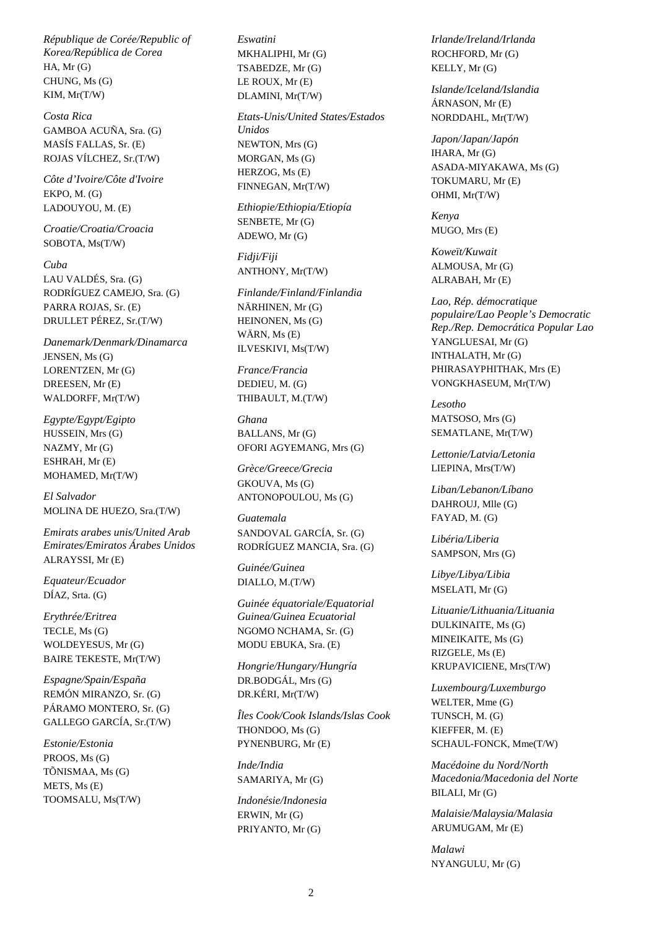*République de Corée/Republic of Korea/República de Corea* HA, Mr (G) CHUNG, Ms (G) KIM, Mr(T/W)

*Costa Rica* GAMBOA ACUÑA, Sra. (G) MASÍS FALLAS, Sr. (E) ROJAS VÍLCHEZ, Sr.(T/W)

*Côte d'Ivoire/Côte d'Ivoire* EKPO, M. (G) LADOUYOU, M. (E)

*Croatie/Croatia/Croacia* SOBOTA, Ms(T/W)

## *Cuba*

LAU VALDÉS, Sra. (G) RODRÍGUEZ CAMEJO, Sra. (G) PARRA ROJAS, Sr. (E) DRULLET PÉREZ, Sr.(T/W)

*Danemark/Denmark/Dinamarca* JENSEN, Ms (G) LORENTZEN, Mr (G) DREESEN, Mr (E) WALDORFF, Mr(T/W)

*Egypte/Egypt/Egipto* HUSSEIN, Mrs (G) NAZMY, Mr (G) ESHRAH, Mr (E) MOHAMED, Mr(T/W)

*El Salvador* MOLINA DE HUEZO, Sra.(T/W)

*Emirats arabes unis/United Arab Emirates/Emiratos Árabes Unidos* ALRAYSSI, Mr (E)

*Equateur/Ecuador* DÍAZ, Srta. (G)

*Erythrée/Eritrea* TECLE, Ms (G) WOLDEYESUS, Mr (G) BAIRE TEKESTE, Mr(T/W)

*Espagne/Spain/España* REMÓN MIRANZO, Sr. (G) PÁRAMO MONTERO, Sr. (G) GALLEGO GARCÍA, Sr.(T/W)

*Estonie/Estonia* PROOS, Ms (G) TÕNISMAA, Ms (G) METS, Ms (E) TOOMSALU, Ms(T/W) *Eswatini* MKHALIPHI, Mr (G) TSABEDZE, Mr (G) LE ROUX, Mr (E) DLAMINI, Mr(T/W)

*Etats-Unis/United States/Estados Unidos* NEWTON, Mrs (G) MORGAN, Ms (G) HERZOG, Ms (E) FINNEGAN, Mr(T/W)

*Ethiopie/Ethiopia/Etiopía* SENBETE, Mr (G) ADEWO, Mr (G)

*Fidji/Fiji* ANTHONY, Mr(T/W)

*Finlande/Finland/Finlandia* NÄRHINEN, Mr (G) HEINONEN, Ms (G) WÄRN, Ms (E) ILVESKIVI, Ms(T/W)

*France/Francia* DEDIEU, M. (G) THIBAULT, M.(T/W)

*Ghana* BALLANS, Mr (G) OFORI AGYEMANG, Mrs (G)

*Grèce/Greece/Grecia* GKOUVA, Ms (G) ANTONOPOULOU, Ms (G)

*Guatemala* SANDOVAL GARCÍA, Sr. (G) RODRÍGUEZ MANCIA, Sra. (G)

*Guinée/Guinea* DIALLO, M.(T/W)

*Guinée équatoriale/Equatorial Guinea/Guinea Ecuatorial* NGOMO NCHAMA, Sr. (G) MODU EBUKA, Sra. (E)

*Hongrie/Hungary/Hungría* DR.BODGÁL, Mrs (G) DR.KÉRI, Mr(T/W)

*Îles Cook/Cook Islands/Islas Cook* THONDOO, Ms (G) PYNENBURG, Mr (E)

*Inde/India* SAMARIYA, Mr (G)

*Indonésie/Indonesia* ERWIN, Mr (G) PRIYANTO, Mr (G)

*Irlande/Ireland/Irlanda* ROCHFORD, Mr (G) KELLY, Mr (G)

*Islande/Iceland/Islandia* ÁRNASON, Mr (E) NORDDAHL, Mr(T/W)

*Japon/Japan/Japón* IHARA, Mr (G) ASADA-MIYAKAWA, Ms (G) TOKUMARU, Mr (E) OHMI, Mr(T/W)

*Kenya* MUGO, Mrs (E)

*Koweït/Kuwait* ALMOUSA, Mr (G) ALRABAH, Mr (E)

*Lao, Rép. démocratique populaire/Lao People's Democratic Rep./Rep. Democrática Popular Lao* YANGLUESAI, Mr (G) INTHALATH, Mr (G) PHIRASAYPHITHAK, Mrs (E) VONGKHASEUM, Mr(T/W)

*Lesotho* MATSOSO, Mrs (G) SEMATLANE, Mr(T/W)

*Lettonie/Latvia/Letonia* LIEPINA, Mrs(T/W)

*Liban/Lebanon/Líbano* DAHROUL MIle (G) FAYAD, M. (G)

*Libéria/Liberia* SAMPSON, Mrs (G)

*Libye/Libya/Libia* MSELATI, Mr (G)

*Lituanie/Lithuania/Lituania* DULKINAITE, Ms (G) MINEIKAITE, Ms (G) RIZGELE, Ms (E) KRUPAVICIENE, Mrs(T/W)

*Luxembourg/Luxemburgo* WELTER, Mme (G) TUNSCH, M. (G) KIEFFER, M. (E) SCHAUL-FONCK, Mme(T/W)

*Macédoine du Nord/North Macedonia/Macedonia del Norte* BILALI, Mr (G)

*Malaisie/Malaysia/Malasia* ARUMUGAM, Mr (E)

*Malawi* NYANGULU, Mr (G)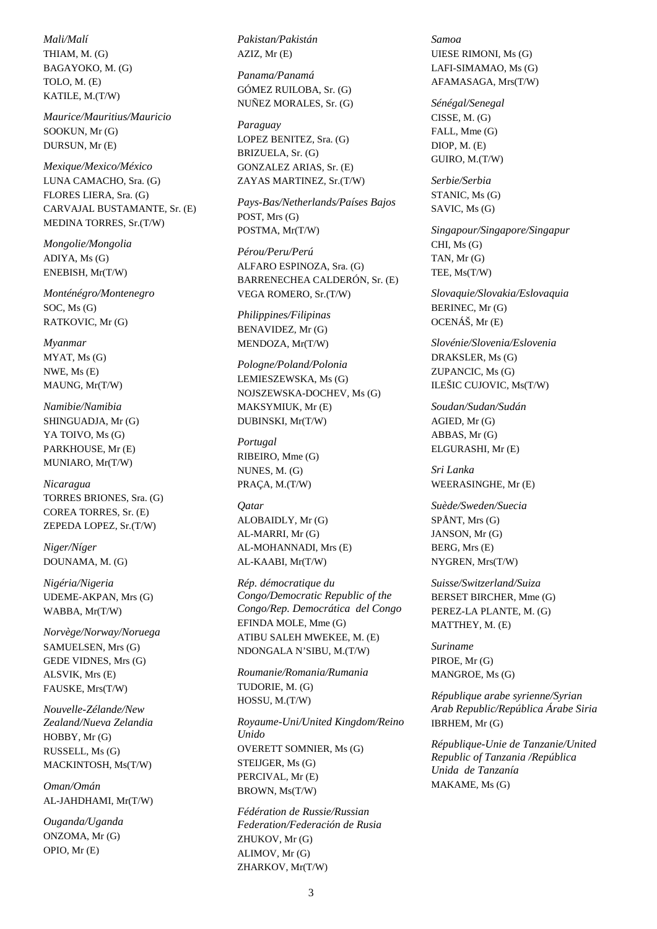*Mali/Malí* THIAM, M. (G) BAGAYOKO, M. (G) TOLO, M. (E) KATILE, M.(T/W)

*Maurice/Mauritius/Mauricio* SOOKUN, Mr (G) DURSUN, Mr (E)

*Mexique/Mexico/México* LUNA CAMACHO, Sra. (G) FLORES LIERA, Sra. (G) CARVAJAL BUSTAMANTE, Sr. (E) MEDINA TORRES, Sr.(T/W)

*Mongolie/Mongolia* ADIYA, Ms (G) ENEBISH, Mr(T/W)

*Monténégro/Montenegro* SOC, Ms (G) RATKOVIC, Mr (G)

*Myanmar* MYAT, Ms (G) NWE, Ms (E) MAUNG, Mr(T/W)

*Namibie/Namibia* SHINGUADJA, Mr (G) YA TOIVO, Ms (G) PARKHOUSE, Mr (E) MUNIARO, Mr(T/W)

*Nicaragua* TORRES BRIONES, Sra. (G) COREA TORRES, Sr. (E) ZEPEDA LOPEZ, Sr.(T/W)

*Niger/Níger* DOUNAMA, M. (G)

*Nigéria/Nigeria* UDEME-AKPAN, Mrs (G) WABBA, Mr(T/W)

*Norvège/Norway/Noruega* SAMUELSEN, Mrs (G) GEDE VIDNES, Mrs (G) ALSVIK, Mrs (E) FAUSKE, Mrs(T/W)

*Nouvelle-Zélande/New Zealand/Nueva Zelandia* HOBBY, Mr (G) RUSSELL, Ms (G) MACKINTOSH, Ms(T/W)

*Oman/Omán* AL-JAHDHAMI, Mr(T/W)

*Ouganda/Uganda* ONZOMA, Mr (G) OPIO, Mr (E)

*Pakistan/Pakistán* AZIZ, Mr (E)

*Panama/Panamá* GÓMEZ RUILOBA, Sr. (G) NUÑEZ MORALES, Sr. (G)

*Paraguay* LOPEZ BENITEZ, Sra. (G) BRIZUELA, Sr. (G) GONZALEZ ARIAS, Sr. (E) ZAYAS MARTINEZ, Sr.(T/W)

*Pays-Bas/Netherlands/Países Bajos* POST, Mrs (G) POSTMA, Mr(T/W)

*Pérou/Peru/Perú* ALFARO ESPINOZA, Sra. (G) BARRENECHEA CALDERÓN, Sr. (E) VEGA ROMERO, Sr.(T/W)

*Philippines/Filipinas* BENAVIDEZ, Mr (G) MENDOZA, Mr(T/W)

*Pologne/Poland/Polonia* LEMIESZEWSKA, Ms (G) NOJSZEWSKA-DOCHEV, Ms (G) MAKSYMIUK, Mr (E) DUBINSKI, Mr(T/W)

*Portugal* RIBEIRO, Mme (G) NUNES, M. (G) PRAÇA, M.(T/W)

*Qatar* ALOBAIDLY, Mr (G) AL-MARRI, Mr (G) AL-MOHANNADI, Mrs (E) AL-KAABI, Mr(T/W)

*Rép. démocratique du Congo/Democratic Republic of the Congo/Rep. Democrática del Congo* EFINDA MOLE, Mme (G) ATIBU SALEH MWEKEE, M. (E) NDONGALA N'SIBU, M.(T/W)

*Roumanie/Romania/Rumania* TUDORIE, M. (G) HOSSU, M.(T/W)

*Royaume-Uni/United Kingdom/Reino Unido* OVERETT SOMNIER, Ms (G) STEIJGER, Ms (G) PERCIVAL, Mr (E) BROWN, Ms(T/W)

*Fédération de Russie/Russian Federation/Federación de Rusia* ZHUKOV, Mr (G) ALIMOV, Mr (G) ZHARKOV, Mr(T/W)

*Samoa* UIESE RIMONI, Ms (G) LAFI-SIMAMAO, Ms (G) AFAMASAGA, Mrs(T/W)

*Sénégal/Senegal* CISSE, M. (G) FALL, Mme (G) DIOP, M. (E) GUIRO, M.(T/W)

*Serbie/Serbia* STANIC, Ms (G) SAVIC, Ms (G)

*Singapour/Singapore/Singapur* CHI, Ms (G) TAN, Mr (G) TEE, Ms(T/W)

*Slovaquie/Slovakia/Eslovaquia* BERINEC, Mr (G) OCENÁŠ, Mr (E)

*Slovénie/Slovenia/Eslovenia* DRAKSLER, Ms (G) ZUPANCIC, Ms (G) ILEŠIC CUJOVIC, Ms(T/W)

*Soudan/Sudan/Sudán* AGIED, Mr (G) ABBAS, Mr (G) ELGURASHI, Mr (E)

*Sri Lanka* WEERASINGHE, Mr (E)

*Suède/Sweden/Suecia* SPÅNT, Mrs (G) JANSON, Mr (G) BERG, Mrs (E) NYGREN, Mrs(T/W)

*Suisse/Switzerland/Suiza* BERSET BIRCHER, Mme (G) PEREZ-LA PLANTE, M. (G) MATTHEY, M. (E)

*Suriname* PIROE, Mr (G) MANGROE, Ms (G)

*République arabe syrienne/Syrian Arab Republic/República Árabe Siria* IBRHEM, Mr (G)

*République-Unie de Tanzanie/United Republic of Tanzania /República Unida de Tanzanía* MAKAME, Ms (G)